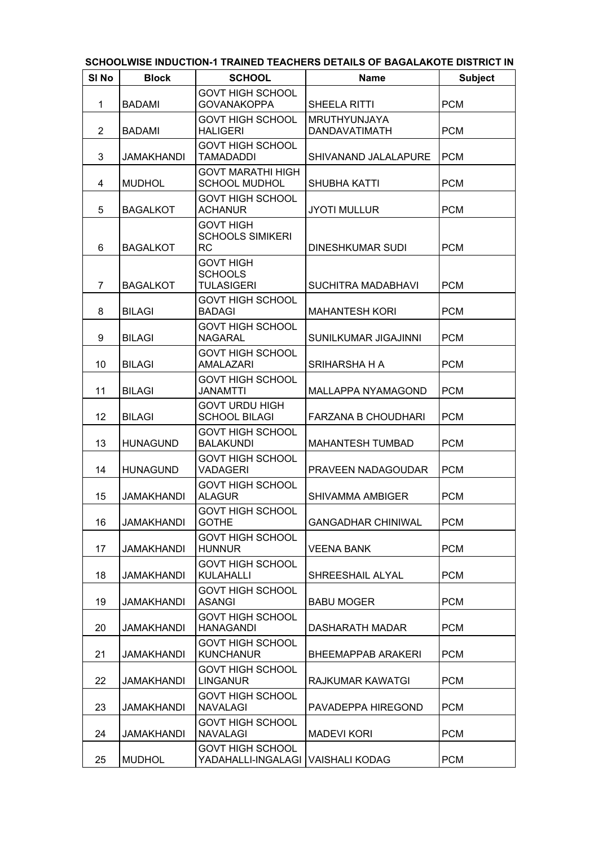| SI <sub>No</sub> | <b>Block</b>      | <b>SCHOOL</b>                                                | <b>Name</b>                          | <b>Subject</b> |
|------------------|-------------------|--------------------------------------------------------------|--------------------------------------|----------------|
| 1                | <b>BADAMI</b>     | <b>GOVT HIGH SCHOOL</b><br><b>GOVANAKOPPA</b>                | SHEELA RITTI                         | <b>PCM</b>     |
| $\overline{2}$   | <b>BADAMI</b>     | <b>GOVT HIGH SCHOOL</b><br><b>HALIGERI</b>                   | <b>MRUTHYUNJAYA</b><br>DANDAVATIMATH | <b>PCM</b>     |
| 3                | <b>JAMAKHANDI</b> | <b>GOVT HIGH SCHOOL</b><br><b>TAMADADDI</b>                  | SHIVANAND JALALAPURE                 | <b>PCM</b>     |
| 4                | <b>MUDHOL</b>     | <b>GOVT MARATHI HIGH</b><br><b>SCHOOL MUDHOL</b>             | <b>SHUBHA KATTI</b>                  | <b>PCM</b>     |
| 5                | <b>BAGALKOT</b>   | <b>GOVT HIGH SCHOOL</b><br><b>ACHANUR</b>                    | <b>JYOTI MULLUR</b>                  | <b>PCM</b>     |
| 6                | <b>BAGALKOT</b>   | <b>GOVT HIGH</b><br><b>SCHOOLS SIMIKERI</b><br><b>RC</b>     | DINESHKUMAR SUDI                     | <b>PCM</b>     |
| $\overline{7}$   | <b>BAGALKOT</b>   | <b>GOVT HIGH</b><br><b>SCHOOLS</b><br><b>TULASIGERI</b>      | SUCHITRA MADABHAVI                   | <b>PCM</b>     |
| 8                | <b>BILAGI</b>     | <b>GOVT HIGH SCHOOL</b><br><b>BADAGI</b>                     | <b>MAHANTESH KORI</b>                | <b>PCM</b>     |
| 9                | <b>BILAGI</b>     | <b>GOVT HIGH SCHOOL</b><br><b>NAGARAL</b>                    | SUNILKUMAR JIGAJINNI                 | <b>PCM</b>     |
| 10               | <b>BILAGI</b>     | <b>GOVT HIGH SCHOOL</b><br>AMALAZARI                         | SRIHARSHA H A                        | <b>PCM</b>     |
| 11               | <b>BILAGI</b>     | <b>GOVT HIGH SCHOOL</b><br><b>JANAMTTI</b>                   | MALLAPPA NYAMAGOND                   | <b>PCM</b>     |
| 12               | <b>BILAGI</b>     | <b>GOVT URDU HIGH</b><br><b>SCHOOL BILAGI</b>                | <b>FARZANA B CHOUDHARI</b>           | <b>PCM</b>     |
| 13               | <b>HUNAGUND</b>   | <b>GOVT HIGH SCHOOL</b><br><b>BALAKUNDI</b>                  | <b>MAHANTESH TUMBAD</b>              | <b>PCM</b>     |
| 14               | <b>HUNAGUND</b>   | <b>GOVT HIGH SCHOOL</b><br><b>VADAGERI</b>                   | PRAVEEN NADAGOUDAR                   | <b>PCM</b>     |
| 15               | <b>JAMAKHANDI</b> | <b>GOVT HIGH SCHOOL</b><br><b>ALAGUR</b>                     | <b>SHIVAMMA AMBIGER</b>              | <b>PCM</b>     |
| 16               | JAMAKHANDI        | <b>GOVT HIGH SCHOOL</b><br><b>GOTHE</b>                      | <b>GANGADHAR CHINIWAL</b>            | <b>PCM</b>     |
| 17               | <b>JAMAKHANDI</b> | <b>GOVT HIGH SCHOOL</b><br><b>HUNNUR</b>                     | <b>VEENA BANK</b>                    | <b>PCM</b>     |
| 18               | <b>JAMAKHANDI</b> | <b>GOVT HIGH SCHOOL</b><br>KULAHALLI                         | SHREESHAIL ALYAL                     | <b>PCM</b>     |
| 19               | JAMAKHANDI        | <b>GOVT HIGH SCHOOL</b><br><b>ASANGI</b>                     | <b>BABU MOGER</b>                    | <b>PCM</b>     |
| 20               | <b>JAMAKHANDI</b> | <b>GOVT HIGH SCHOOL</b><br><b>HANAGANDI</b>                  | DASHARATH MADAR                      | <b>PCM</b>     |
| 21               | JAMAKHANDI        | <b>GOVT HIGH SCHOOL</b><br><b>KUNCHANUR</b>                  | <b>BHEEMAPPAB ARAKERI</b>            | <b>PCM</b>     |
| 22               | <b>JAMAKHANDI</b> | <b>GOVT HIGH SCHOOL</b><br><b>LINGANUR</b>                   | RAJKUMAR KAWATGI                     | <b>PCM</b>     |
| 23               | <b>JAMAKHANDI</b> | <b>GOVT HIGH SCHOOL</b><br><b>NAVALAGI</b>                   | PAVADEPPA HIREGOND                   | <b>PCM</b>     |
| 24               | <b>JAMAKHANDI</b> | <b>GOVT HIGH SCHOOL</b><br><b>NAVALAGI</b>                   | <b>MADEVI KORI</b>                   | <b>PCM</b>     |
| 25               | <b>MUDHOL</b>     | <b>GOVT HIGH SCHOOL</b><br>YADAHALLI-INGALAGI VAISHALI KODAG |                                      | <b>PCM</b>     |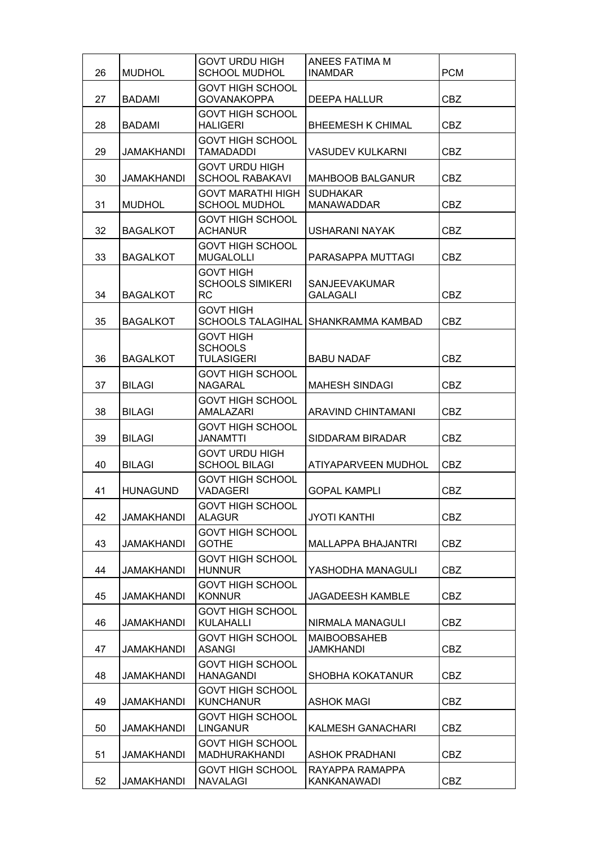| 26 | <b>MUDHOL</b>     | <b>GOVT URDU HIGH</b><br><b>SCHOOL MUDHOL</b>            | ANEES FATIMA M<br><b>INAMDAR</b>        | <b>PCM</b> |
|----|-------------------|----------------------------------------------------------|-----------------------------------------|------------|
| 27 | <b>BADAMI</b>     | <b>GOVT HIGH SCHOOL</b><br><b>GOVANAKOPPA</b>            | DEEPA HALLUR                            | <b>CBZ</b> |
| 28 | <b>BADAMI</b>     | <b>GOVT HIGH SCHOOL</b><br><b>HALIGERI</b>               | <b>BHEEMESH K CHIMAL</b>                | <b>CBZ</b> |
| 29 | <b>JAMAKHANDI</b> | <b>GOVT HIGH SCHOOL</b><br><b>TAMADADDI</b>              | <b>VASUDEV KULKARNI</b>                 | <b>CBZ</b> |
| 30 | <b>JAMAKHANDI</b> | <b>GOVT URDU HIGH</b><br><b>SCHOOL RABAKAVI</b>          | <b>MAHBOOB BALGANUR</b>                 | <b>CBZ</b> |
| 31 | <b>MUDHOL</b>     | <b>GOVT MARATHI HIGH</b><br><b>SCHOOL MUDHOL</b>         | <b>SUDHAKAR</b><br><b>MANAWADDAR</b>    | <b>CBZ</b> |
| 32 | <b>BAGALKOT</b>   | <b>GOVT HIGH SCHOOL</b><br><b>ACHANUR</b>                | USHARANI NAYAK                          | <b>CBZ</b> |
| 33 | <b>BAGALKOT</b>   | <b>GOVT HIGH SCHOOL</b><br><b>MUGALOLLI</b>              | PARASAPPA MUTTAGI                       | <b>CBZ</b> |
| 34 | <b>BAGALKOT</b>   | <b>GOVT HIGH</b><br><b>SCHOOLS SIMIKERI</b><br><b>RC</b> | <b>SANJEEVAKUMAR</b><br><b>GALAGALI</b> | <b>CBZ</b> |
| 35 | <b>BAGALKOT</b>   | <b>GOVT HIGH</b><br><b>SCHOOLS TALAGIHAL</b>             | <b>SHANKRAMMA KAMBAD</b>                | <b>CBZ</b> |
| 36 | <b>BAGALKOT</b>   | <b>GOVT HIGH</b><br><b>SCHOOLS</b><br><b>TULASIGERI</b>  | <b>BABU NADAF</b>                       | <b>CBZ</b> |
| 37 | <b>BILAGI</b>     | <b>GOVT HIGH SCHOOL</b><br><b>NAGARAL</b>                | <b>MAHESH SINDAGI</b>                   | <b>CBZ</b> |
| 38 | <b>BILAGI</b>     | <b>GOVT HIGH SCHOOL</b><br>AMALAZARI                     | ARAVIND CHINTAMANI                      | <b>CBZ</b> |
| 39 | <b>BILAGI</b>     | <b>GOVT HIGH SCHOOL</b><br><b>JANAMTTI</b>               | SIDDARAM BIRADAR                        | <b>CBZ</b> |
| 40 | <b>BILAGI</b>     | <b>GOVT URDU HIGH</b><br><b>SCHOOL BILAGI</b>            | ATIYAPARVEEN MUDHOL                     | <b>CBZ</b> |
| 41 | <b>HUNAGUND</b>   | <b>GOVT HIGH SCHOOL</b><br><b>VADAGERI</b>               | <b>GOPAL KAMPLI</b>                     | <b>CBZ</b> |
| 42 | JAMAKHANDI        | <b>GOVT HIGH SCHOOL</b><br><b>ALAGUR</b>                 | <b>JYOTI KANTHI</b>                     | <b>CBZ</b> |
| 43 | <b>JAMAKHANDI</b> | <b>GOVT HIGH SCHOOL</b><br><b>GOTHE</b>                  | <b>MALLAPPA BHAJANTRI</b>               | CBZ        |
| 44 | <b>JAMAKHANDI</b> | <b>GOVT HIGH SCHOOL</b><br><b>HUNNUR</b>                 | YASHODHA MANAGULI                       | <b>CBZ</b> |
| 45 | <b>JAMAKHANDI</b> | <b>GOVT HIGH SCHOOL</b><br><b>KONNUR</b>                 | <b>JAGADEESH KAMBLE</b>                 | <b>CBZ</b> |
| 46 | JAMAKHANDI        | <b>GOVT HIGH SCHOOL</b><br><b>KULAHALLI</b>              | NIRMALA MANAGULI                        | CBZ        |
| 47 | JAMAKHANDI        | <b>GOVT HIGH SCHOOL</b><br><b>ASANGI</b>                 | <b>MAIBOOBSAHEB</b><br>JAMKHANDI        | CBZ        |
| 48 | <b>JAMAKHANDI</b> | <b>GOVT HIGH SCHOOL</b><br><b>HANAGANDI</b>              | <b>SHOBHA KOKATANUR</b>                 | CBZ        |
| 49 | <b>JAMAKHANDI</b> | <b>GOVT HIGH SCHOOL</b><br><b>KUNCHANUR</b>              | <b>ASHOK MAGI</b>                       | <b>CBZ</b> |
| 50 | JAMAKHANDI        | <b>GOVT HIGH SCHOOL</b><br><b>LINGANUR</b>               | KALMESH GANACHARI                       | <b>CBZ</b> |
| 51 | JAMAKHANDI        | <b>GOVT HIGH SCHOOL</b><br><b>MADHURAKHANDI</b>          | <b>ASHOK PRADHANI</b>                   | CBZ        |
| 52 | <b>JAMAKHANDI</b> | <b>GOVT HIGH SCHOOL</b><br><b>NAVALAGI</b>               | RAYAPPA RAMAPPA<br>KANKANAWADI          | <b>CBZ</b> |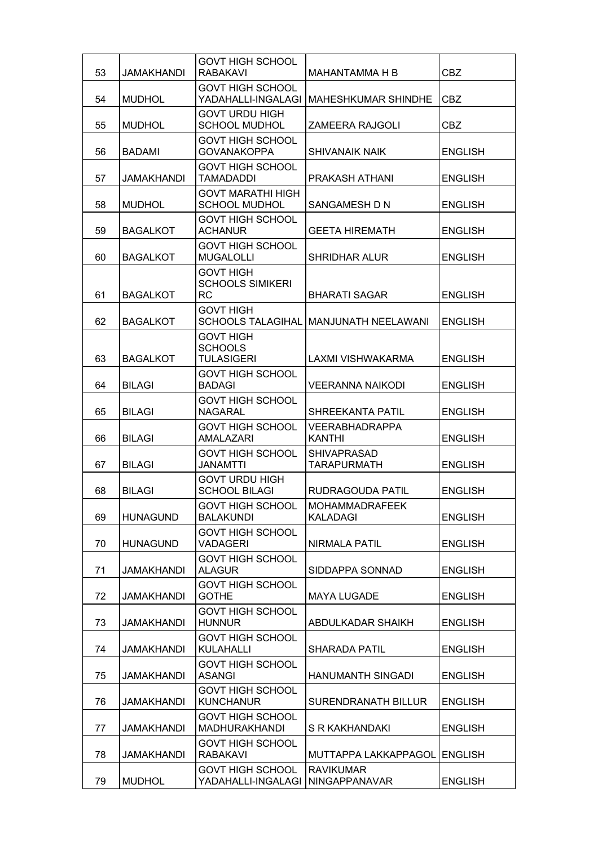| 53 | JAMAKHANDI        | <b>GOVT HIGH SCHOOL</b><br><b>RABAKAVI</b>               | MAHANTAMMA H B                           | <b>CBZ</b>     |
|----|-------------------|----------------------------------------------------------|------------------------------------------|----------------|
| 54 | <b>MUDHOL</b>     | <b>GOVT HIGH SCHOOL</b><br>YADAHALLI-INGALAGI            | <b>MAHESHKUMAR SHINDHE</b>               | <b>CBZ</b>     |
| 55 | <b>MUDHOL</b>     | <b>GOVT URDU HIGH</b><br><b>SCHOOL MUDHOL</b>            | <b>ZAMEERA RAJGOLI</b>                   | <b>CBZ</b>     |
| 56 | <b>BADAMI</b>     | <b>GOVT HIGH SCHOOL</b><br><b>GOVANAKOPPA</b>            | <b>SHIVANAIK NAIK</b>                    | <b>ENGLISH</b> |
| 57 | <b>JAMAKHANDI</b> | <b>GOVT HIGH SCHOOL</b><br><b>TAMADADDI</b>              | PRAKASH ATHANI                           | <b>ENGLISH</b> |
| 58 | <b>MUDHOL</b>     | <b>GOVT MARATHI HIGH</b><br><b>SCHOOL MUDHOL</b>         | SANGAMESH D N                            | <b>ENGLISH</b> |
| 59 | <b>BAGALKOT</b>   | <b>GOVT HIGH SCHOOL</b><br><b>ACHANUR</b>                | <b>GEETA HIREMATH</b>                    | <b>ENGLISH</b> |
| 60 | <b>BAGALKOT</b>   | <b>GOVT HIGH SCHOOL</b><br><b>MUGALOLLI</b>              | <b>SHRIDHAR ALUR</b>                     | <b>ENGLISH</b> |
| 61 | <b>BAGALKOT</b>   | <b>GOVT HIGH</b><br><b>SCHOOLS SIMIKERI</b><br><b>RC</b> | <b>BHARATI SAGAR</b>                     | <b>ENGLISH</b> |
| 62 | <b>BAGALKOT</b>   | <b>GOVT HIGH</b><br><b>SCHOOLS TALAGIHAL</b>             | MANJUNATH NEELAWANI                      | <b>ENGLISH</b> |
| 63 | <b>BAGALKOT</b>   | <b>GOVT HIGH</b><br><b>SCHOOLS</b><br><b>TULASIGERI</b>  | LAXMI VISHWAKARMA                        | <b>ENGLISH</b> |
| 64 | <b>BILAGI</b>     | <b>GOVT HIGH SCHOOL</b><br><b>BADAGI</b>                 | <b>VEERANNA NAIKODI</b>                  | <b>ENGLISH</b> |
| 65 | <b>BILAGI</b>     | <b>GOVT HIGH SCHOOL</b><br><b>NAGARAL</b>                | SHREEKANTA PATIL                         | <b>ENGLISH</b> |
| 66 | <b>BILAGI</b>     | <b>GOVT HIGH SCHOOL</b><br><b>AMALAZARI</b>              | <b>VEERABHADRAPPA</b><br><b>KANTHI</b>   | <b>ENGLISH</b> |
| 67 | <b>BILAGI</b>     | <b>GOVT HIGH SCHOOL</b><br><b>JANAMTTI</b>               | <b>SHIVAPRASAD</b><br><b>TARAPURMATH</b> | <b>ENGLISH</b> |
| 68 | <b>BILAGI</b>     | <b>GOVT URDU HIGH</b><br><b>SCHOOL BILAGI</b>            | RUDRAGOUDA PATIL                         | <b>ENGLISH</b> |
| 69 | <b>HUNAGUND</b>   | <b>GOVT HIGH SCHOOL</b><br><b>BALAKUNDI</b>              | MOHAMMADRAFEEK<br>KALADAGI               | <b>ENGLISH</b> |
| 70 | <b>HUNAGUND</b>   | <b>GOVT HIGH SCHOOL</b><br><b>VADAGERI</b>               | <b>NIRMALA PATIL</b>                     | <b>ENGLISH</b> |
| 71 | <b>JAMAKHANDI</b> | <b>GOVT HIGH SCHOOL</b><br><b>ALAGUR</b>                 | SIDDAPPA SONNAD                          | <b>ENGLISH</b> |
| 72 | <b>JAMAKHANDI</b> | <b>GOVT HIGH SCHOOL</b><br><b>GOTHE</b>                  | <b>MAYA LUGADE</b>                       | <b>ENGLISH</b> |
| 73 | <b>JAMAKHANDI</b> | <b>GOVT HIGH SCHOOL</b><br><b>HUNNUR</b>                 | ABDULKADAR SHAIKH                        | <b>ENGLISH</b> |
| 74 | JAMAKHANDI        | <b>GOVT HIGH SCHOOL</b><br>KULAHALLI                     | <b>SHARADA PATIL</b>                     | <b>ENGLISH</b> |
| 75 | <b>JAMAKHANDI</b> | <b>GOVT HIGH SCHOOL</b><br><b>ASANGI</b>                 | <b>HANUMANTH SINGADI</b>                 | <b>ENGLISH</b> |
| 76 | <b>JAMAKHANDI</b> | <b>GOVT HIGH SCHOOL</b><br><b>KUNCHANUR</b>              | <b>SURENDRANATH BILLUR</b>               | <b>ENGLISH</b> |
| 77 | <b>JAMAKHANDI</b> | <b>GOVT HIGH SCHOOL</b><br><b>MADHURAKHANDI</b>          | S R KAKHANDAKI                           | <b>ENGLISH</b> |
| 78 | JAMAKHANDI        | <b>GOVT HIGH SCHOOL</b><br><b>RABAKAVI</b>               | <b>MUTTAPPA LAKKAPPAGOLI</b>             | <b>ENGLISH</b> |
| 79 | <b>MUDHOL</b>     | <b>GOVT HIGH SCHOOL</b><br>YADAHALLI-INGALAGI            | <b>RAVIKUMAR</b><br><b>NINGAPPANAVAR</b> | <b>ENGLISH</b> |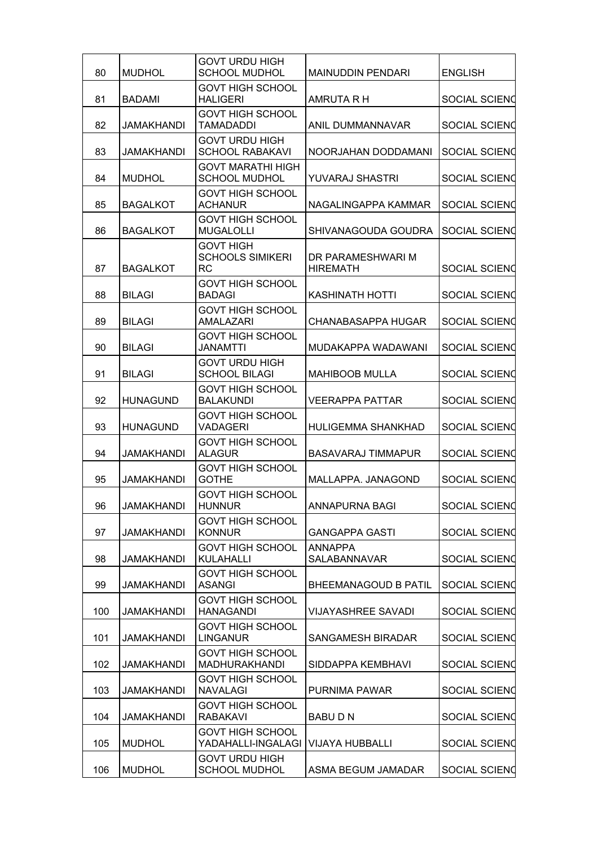| 80  | <b>MUDHOL</b>     | <b>GOVT URDU HIGH</b><br><b>SCHOOL MUDHOL</b>            | <b>MAINUDDIN PENDARI</b>             | <b>ENGLISH</b>       |
|-----|-------------------|----------------------------------------------------------|--------------------------------------|----------------------|
| 81  | <b>BADAMI</b>     | <b>GOVT HIGH SCHOOL</b><br><b>HALIGERI</b>               | AMRUTA R H                           | <b>SOCIAL SCIEND</b> |
| 82  | JAMAKHANDI        | <b>GOVT HIGH SCHOOL</b><br>TAMADADDI                     | ANIL DUMMANNAVAR                     | <b>SOCIAL SCIEND</b> |
| 83  | JAMAKHANDI        | <b>GOVT URDU HIGH</b><br><b>SCHOOL RABAKAVI</b>          | NOORJAHAN DODDAMANI                  | SOCIAL SCIEND        |
| 84  | <b>MUDHOL</b>     | GOVT MARATHI HIGH<br><b>SCHOOL MUDHOL</b>                | <b>YUVARAJ SHASTRI</b>               | SOCIAL SCIEND        |
| 85  | <b>BAGALKOT</b>   | <b>GOVT HIGH SCHOOL</b><br><b>ACHANUR</b>                | NAGALINGAPPA KAMMAR                  | SOCIAL SCIEND        |
| 86  | <b>BAGALKOT</b>   | <b>GOVT HIGH SCHOOL</b><br><b>MUGALOLLI</b>              | SHIVANAGOUDA GOUDRA                  | SOCIAL SCIEND        |
| 87  | <b>BAGALKOT</b>   | <b>GOVT HIGH</b><br><b>SCHOOLS SIMIKERI</b><br><b>RC</b> | DR PARAMESHWARI M<br><b>HIREMATH</b> | SOCIAL SCIEND        |
| 88  | <b>BILAGI</b>     | <b>GOVT HIGH SCHOOL</b><br>BADAGI                        | <b>KASHINATH HOTTI</b>               | SOCIAL SCIEND        |
| 89  | <b>BILAGI</b>     | <b>GOVT HIGH SCHOOL</b><br>AMALAZARI                     | <b>CHANABASAPPA HUGAR</b>            | <b>SOCIAL SCIEND</b> |
| 90  | <b>BILAGI</b>     | GOVT HIGH SCHOOL<br>JANAMTTI                             | MUDAKAPPA WADAWANI                   | SOCIAL SCIEND        |
| 91  | <b>BILAGI</b>     | <b>GOVT URDU HIGH</b><br><b>SCHOOL BILAGI</b>            | <b>MAHIBOOB MULLA</b>                | SOCIAL SCIEND        |
| 92  | <b>HUNAGUND</b>   | <b>GOVT HIGH SCHOOL</b><br><b>BALAKUNDI</b>              | VEERAPPA PATTAR                      | <b>SOCIAL SCIEND</b> |
| 93  | <b>HUNAGUND</b>   | <b>GOVT HIGH SCHOOL</b><br><b>VADAGERI</b>               | <b>HULIGEMMA SHANKHAD</b>            | SOCIAL SCIENO        |
| 94  | <b>JAMAKHANDI</b> | <b>GOVT HIGH SCHOOL</b><br><b>ALAGUR</b>                 | <b>BASAVARAJ TIMMAPUR</b>            | SOCIAL SCIEND        |
| 95  | <b>JAMAKHANDI</b> | <b>GOVT HIGH SCHOOL</b><br>GOTHE                         | MALLAPPA. JANAGOND                   | SOCIAL SCIENO        |
| 96  | JAMAKHANDI        | GOVT HIGH SCHOOL<br>HUNNUR                               | ANNAPURNA BAGI                       | SOCIAL SCIENQ        |
| 97  | <b>JAMAKHANDI</b> | <b>GOVT HIGH SCHOOL</b><br><b>KONNUR</b>                 | <b>GANGAPPA GASTI</b>                | SOCIAL SCIEND        |
| 98  | <b>JAMAKHANDI</b> | <b>GOVT HIGH SCHOOL</b><br><b>KULAHALLI</b>              | <b>ANNAPPA</b><br>SALABANNAVAR       | SOCIAL SCIEND        |
| 99  | <b>JAMAKHANDI</b> | <b>GOVT HIGH SCHOOL</b><br><b>ASANGI</b>                 | BHEEMANAGOUD B PATIL                 | SOCIAL SCIEND        |
| 100 | <b>JAMAKHANDI</b> | <b>GOVT HIGH SCHOOL</b><br><b>HANAGANDI</b>              | <b>VIJAYASHREE SAVADI</b>            | SOCIAL SCIEND        |
| 101 | <b>JAMAKHANDI</b> | <b>GOVT HIGH SCHOOL</b><br><b>LINGANUR</b>               | <b>SANGAMESH BIRADAR</b>             | SOCIAL SCIEND        |
| 102 | <b>JAMAKHANDI</b> | <b>GOVT HIGH SCHOOL</b><br><b>MADHURAKHANDI</b>          | SIDDAPPA KEMBHAVI                    | SOCIAL SCIEND        |
| 103 | <b>JAMAKHANDI</b> | <b>GOVT HIGH SCHOOL</b><br><b>NAVALAGI</b>               | <b>PURNIMA PAWAR</b>                 | SOCIAL SCIEND        |
| 104 | <b>JAMAKHANDI</b> | <b>GOVT HIGH SCHOOL</b><br><b>RABAKAVI</b>               | <b>BABUDN</b>                        | SOCIAL SCIEND        |
| 105 | <b>MUDHOL</b>     | <b>GOVT HIGH SCHOOL</b><br>YADAHALLI-INGALAGI            | VIJAYA HUBBALLI                      | SOCIAL SCIEND        |
| 106 | <b>MUDHOL</b>     | <b>GOVT URDU HIGH</b><br><b>SCHOOL MUDHOL</b>            | ASMA BEGUM JAMADAR                   | SOCIAL SCIEND        |